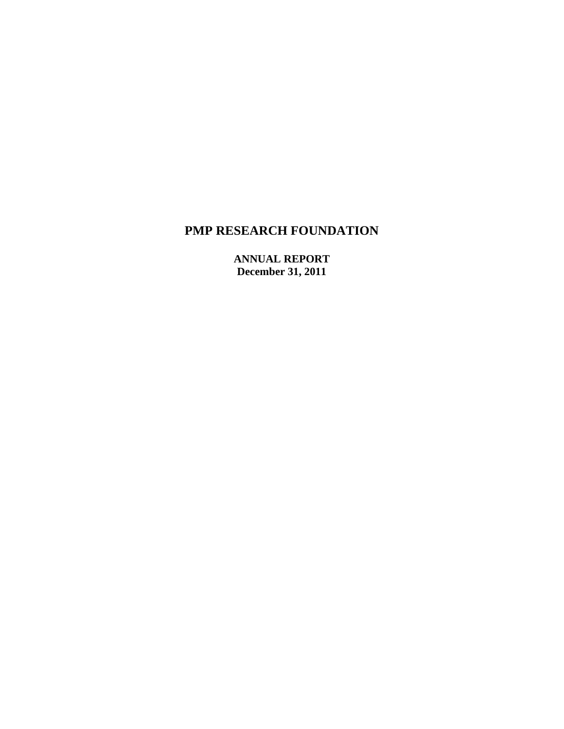**ANNUAL REPORT December 31, 2011**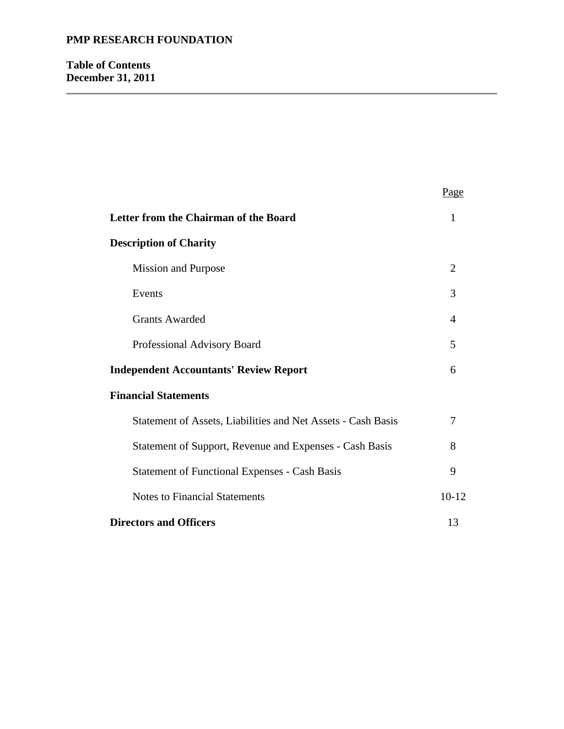# **Table of Contents December 31, 2011**

|                                                              | Page           |
|--------------------------------------------------------------|----------------|
| Letter from the Chairman of the Board                        | 1              |
| <b>Description of Charity</b>                                |                |
| <b>Mission and Purpose</b>                                   | $\overline{2}$ |
| Events                                                       | 3              |
| <b>Grants Awarded</b>                                        | 4              |
| Professional Advisory Board                                  | 5              |
| <b>Independent Accountants' Review Report</b>                | 6              |
| <b>Financial Statements</b>                                  |                |
| Statement of Assets, Liabilities and Net Assets - Cash Basis | 7              |
| Statement of Support, Revenue and Expenses - Cash Basis      | 8              |
| <b>Statement of Functional Expenses - Cash Basis</b>         | 9              |
| <b>Notes to Financial Statements</b>                         | $10 - 12$      |
| <b>Directors and Officers</b>                                | 13             |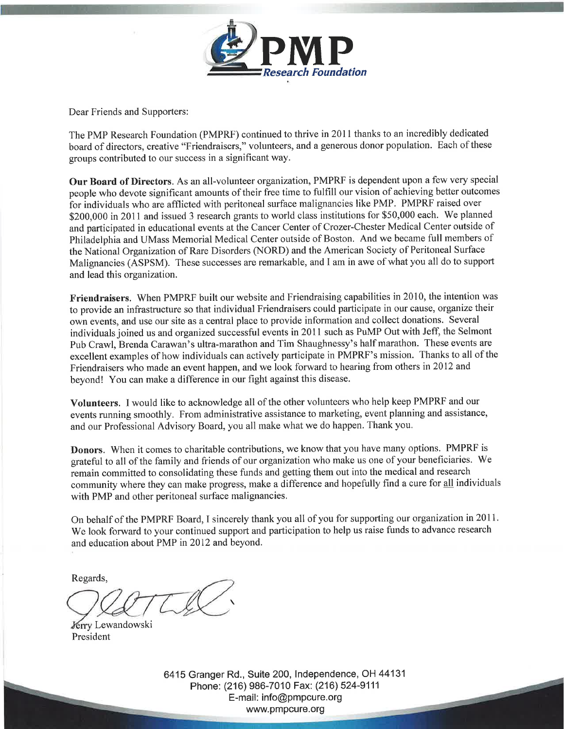

Dear Friends and Supporters:

The PMP Research Foundation (PMPRF) continued to thrive in 2011 thanks to an incredibly dedicated board of directors, creative "Friendraisers," volunteers, and a generous donor population. Each of these groups contributed to our success in a significant way.

Our Board of Directors. As an all-volunteer organization, PMPRF is dependent upon a few very special people who devote significant amounts of their free time to fulfill our vision of achieving better outcomes for individuals who are afflicted with peritoneal surface malignancies like PMP. PMPRF raised over \$200,000 in 2011 and issued 3 research grants to world class institutions for \$50,000 each. We planned and participated in educational events at the Cancer Center of Crozer-Chester Medical Center outside of Philadelphia and UMass Memorial Medical Center outside of Boston. And we became full members of the National Organization of Rare Disorders (NORD) and the American Society of Peritoneal Surface Malignancies (ASPSM). These successes are remarkable, and I am in awe of what you all do to support and lead this organization.

**Friendraisers.** When PMPRF built our website and Friendraising capabilities in 2010, the intention was to provide an infrastructure so that individual Friendraisers could participate in our cause, organize their own events, and use our site as a central place to provide information and collect donations. Several individuals joined us and organized successful events in 2011 such as PuMP Out with Jeff, the Selmont Pub Crawl, Brenda Carawan's ultra-marathon and Tim Shaughnessy's half marathon. These events are excellent examples of how individuals can actively participate in PMPRF's mission. Thanks to all of the Friendraisers who made an event happen, and we look forward to hearing from others in 2012 and bevond! You can make a difference in our fight against this disease.

Volunteers. I would like to acknowledge all of the other volunteers who help keep PMPRF and our events running smoothly. From administrative assistance to marketing, event planning and assistance, and our Professional Advisory Board, you all make what we do happen. Thank you.

Donors. When it comes to charitable contributions, we know that you have many options. PMPRF is grateful to all of the family and friends of our organization who make us one of your beneficiaries. We remain committed to consolidating these funds and getting them out into the medical and research community where they can make progress, make a difference and hopefully find a cure for all individuals with PMP and other peritoneal surface malignancies.

On behalf of the PMPRF Board, I sincerely thank you all of you for supporting our organization in 2011. We look forward to your continued support and participation to help us raise funds to advance research and education about PMP in 2012 and beyond.

Regards,

Jerry Lewandowski President

6415 Granger Rd., Suite 200, Independence, OH 44131 Phone: (216) 986-7010 Fax: (216) 524-9111 E-mail: info@pmpcure.org www.pmpcure.org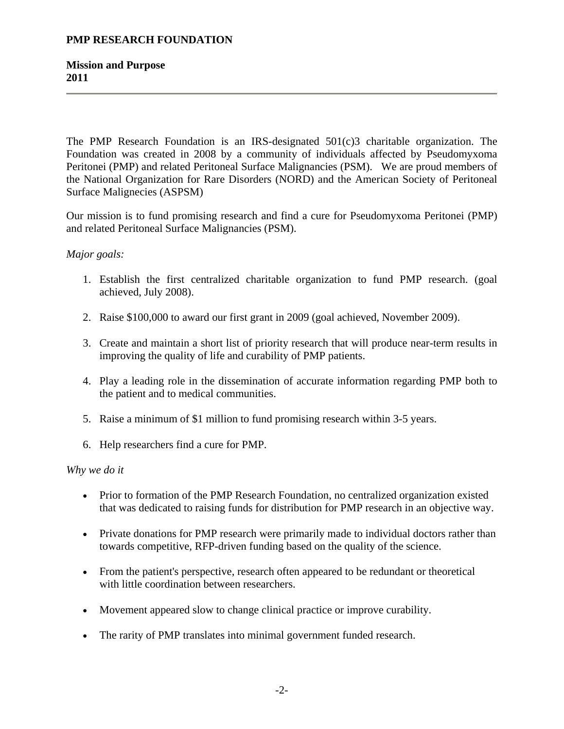**Mission and Purpose 2011**

The PMP Research Foundation is an IRS-designated 501(c)3 charitable organization. The Foundation was created in 2008 by a community of individuals affected by Pseudomyxoma Peritonei (PMP) and related Peritoneal Surface Malignancies (PSM). We are proud members of the National Organization for Rare Disorders (NORD) and the American Society of Peritoneal Surface Malignecies (ASPSM)

Our mission is to fund promising research and find a cure for Pseudomyxoma Peritonei (PMP) and related Peritoneal Surface Malignancies (PSM).

## *Major goals:*

- 1. Establish the first centralized charitable organization to fund PMP research. (goal achieved, July 2008).
- 2. Raise \$100,000 to award our first grant in 2009 (goal achieved, November 2009).
- 3. Create and maintain a short list of priority research that will produce near-term results in improving the quality of life and curability of PMP patients.
- 4. Play a leading role in the dissemination of accurate information regarding PMP both to the patient and to medical communities.
- 5. Raise a minimum of \$1 million to fund promising research within 3-5 years.
- 6. Help researchers find a cure for PMP.

#### *Why we do it*

- Prior to formation of the PMP Research Foundation, no centralized organization existed that was dedicated to raising funds for distribution for PMP research in an objective way.
- Private donations for PMP research were primarily made to individual doctors rather than towards competitive, RFP-driven funding based on the quality of the science.
- From the patient's perspective, research often appeared to be redundant or theoretical with little coordination between researchers.
- Movement appeared slow to change clinical practice or improve curability.
- The rarity of PMP translates into minimal government funded research.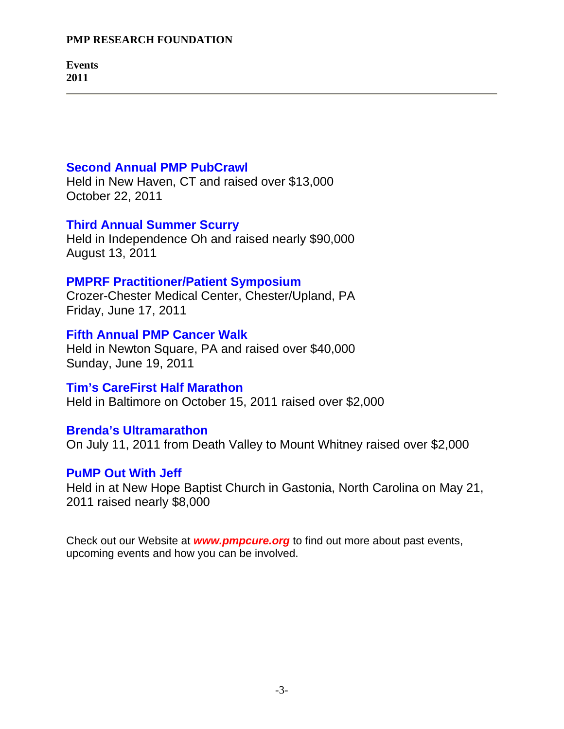**Events 2011**

# **Second Annual PMP PubCrawl**

Held in New Haven, CT and raised over \$13,000 October 22, 2011

# **Third Annual Summer Scurry**

Held in Independence Oh and raised nearly \$90,000 August 13, 2011

# **PMPRF Practitioner/Patient Symposium**

Crozer-Chester Medical Center, Chester/Upland, PA Friday, June 17, 2011

# **Fifth Annual PMP Cancer Walk**

Held in Newton Square, PA and raised over \$40,000 Sunday, June 19, 2011

# **Tim's CareFirst Half Marathon**

Held in Baltimore on October 15, 2011 raised over \$2,000

# **Brenda's Ultramarathon**

On July 11, 2011 from Death Valley to Mount Whitney raised over \$2,000

# **PuMP Out With Jeff**

Held in at New Hope Baptist Church in Gastonia, North Carolina on May 21, 2011 raised nearly \$8,000

Check out our Website at *www.pmpcure.org* to find out more about past events, upcoming events and how you can be involved.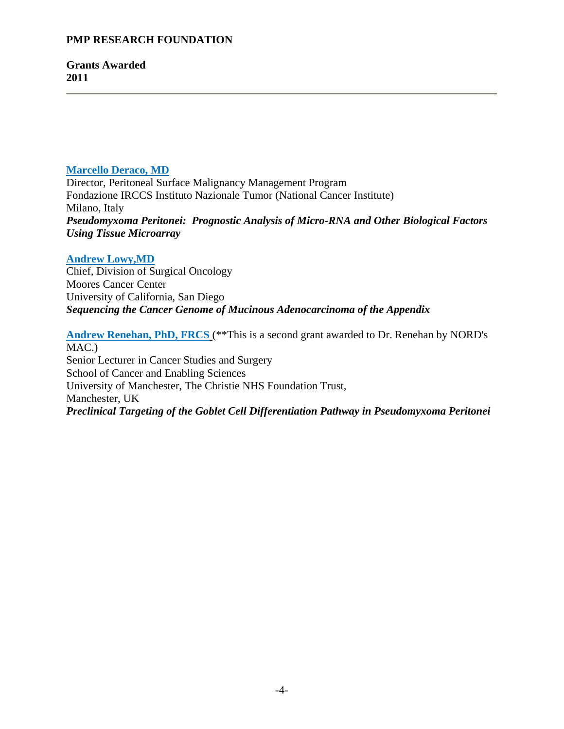**Grants Awarded 2011**

# **Marcello Deraco, MD**

Director, Peritoneal Surface Malignancy Management Program Fondazione IRCCS Instituto Nazionale Tumor (National Cancer Institute) Milano, Italy *Pseudomyxoma Peritonei: Prognostic Analysis of Micro-RNA and Other Biological Factors Using Tissue Microarray*

# **Andrew Lowy,MD**

Chief, Division of Surgical Oncology Moores Cancer Center University of California, San Diego *Sequencing the Cancer Genome of Mucinous Adenocarcinoma of the Appendix*

**Andrew Renehan, PhD, FRCS** (\*\*This is a second grant awarded to Dr. Renehan by NORD's MAC.) Senior Lecturer in Cancer Studies and Surgery School of Cancer and Enabling Sciences University of Manchester, The Christie NHS Foundation Trust, Manchester, UK *Preclinical Targeting of the Goblet Cell Differentiation Pathway in Pseudomyxoma Peritonei*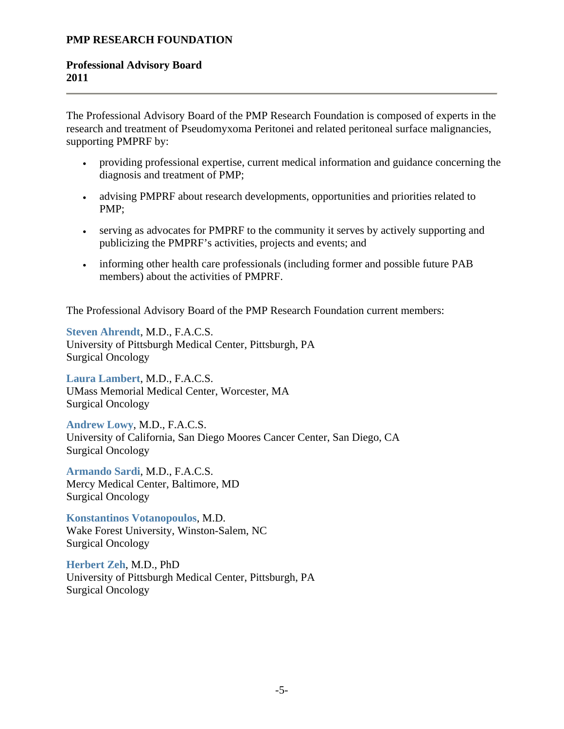# **Professional Advisory Board 2011**

The Professional Advisory Board of the PMP Research Foundation is composed of experts in the research and treatment of Pseudomyxoma Peritonei and related peritoneal surface malignancies, supporting PMPRF by:

- providing professional expertise, current medical information and guidance concerning the diagnosis and treatment of PMP;
- advising PMPRF about research developments, opportunities and priorities related to PMP;
- serving as advocates for PMPRF to the community it serves by actively supporting and publicizing the PMPRF's activities, projects and events; and
- informing other health care professionals (including former and possible future PAB members) about the activities of PMPRF.

The Professional Advisory Board of the PMP Research Foundation current members:

**Steven Ahrendt**, M.D., F.A.C.S. University of Pittsburgh Medical Center, Pittsburgh, PA Surgical Oncology

**Laura Lambert**, M.D., F.A.C.S. UMass Memorial Medical Center, Worcester, MA Surgical Oncology

**Andrew Lowy**, M.D., F.A.C.S. University of California, San Diego Moores Cancer Center, San Diego, CA Surgical Oncology

**Armando Sardi**, M.D., F.A.C.S. Mercy Medical Center, Baltimore, MD Surgical Oncology

**Konstantinos Votanopoulos**, M.D. Wake Forest University, Winston-Salem, NC Surgical Oncology

**Herbert Zeh**, M.D., PhD University of Pittsburgh Medical Center, Pittsburgh, PA Surgical Oncology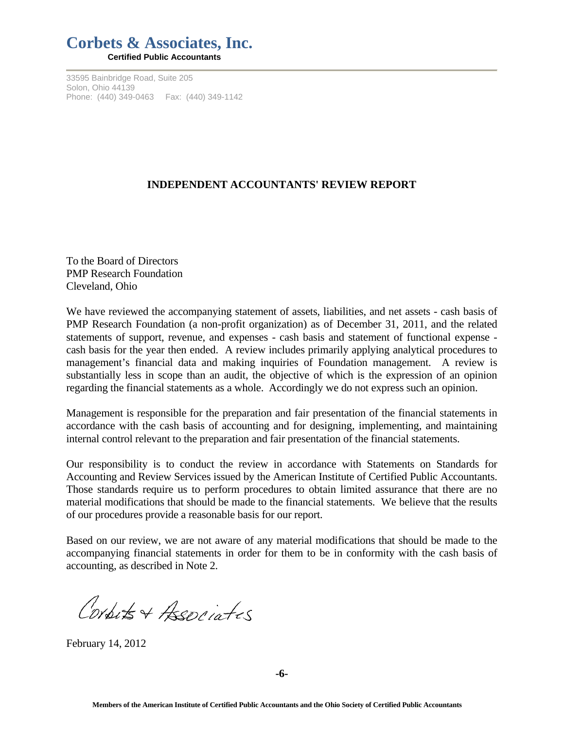# **Corbets & Associates, Inc. Certified Public Accountants**

33595 Bainbridge Road, Suite 205

Solon, Ohio 44139 Phone: (440) 349-0463 Fax: (440) 349-1142

# **INDEPENDENT ACCOUNTANTS' REVIEW REPORT**

To the Board of Directors PMP Research Foundation Cleveland, Ohio

We have reviewed the accompanying statement of assets, liabilities, and net assets - cash basis of PMP Research Foundation (a non-profit organization) as of December 31, 2011, and the related statements of support, revenue, and expenses - cash basis and statement of functional expense cash basis for the year then ended. A review includes primarily applying analytical procedures to management's financial data and making inquiries of Foundation management. A review is substantially less in scope than an audit, the objective of which is the expression of an opinion regarding the financial statements as a whole. Accordingly we do not express such an opinion.

Management is responsible for the preparation and fair presentation of the financial statements in accordance with the cash basis of accounting and for designing, implementing, and maintaining internal control relevant to the preparation and fair presentation of the financial statements.

Our responsibility is to conduct the review in accordance with Statements on Standards for Accounting and Review Services issued by the American Institute of Certified Public Accountants. Those standards require us to perform procedures to obtain limited assurance that there are no material modifications that should be made to the financial statements. We believe that the results of our procedures provide a reasonable basis for our report.

Based on our review, we are not aware of any material modifications that should be made to the accompanying financial statements in order for them to be in conformity with the cash basis of accounting, as described in Note 2.

Conputs + Associates

February 14, 2012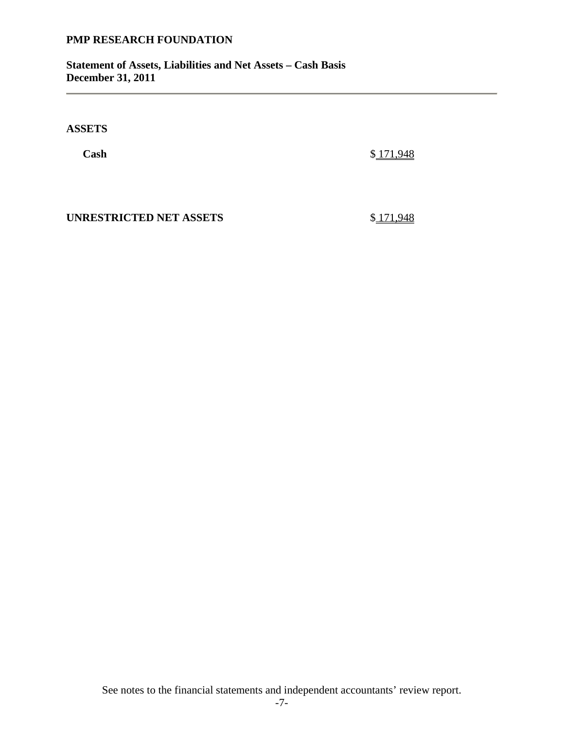**Statement of Assets, Liabilities and Net Assets – Cash Basis December 31, 2011** 

**ASSETS** 

 **Cash** \$ 171,948

**UNRESTRICTED NET ASSETS** \$ 171,948

See notes to the financial statements and independent accountants' review report.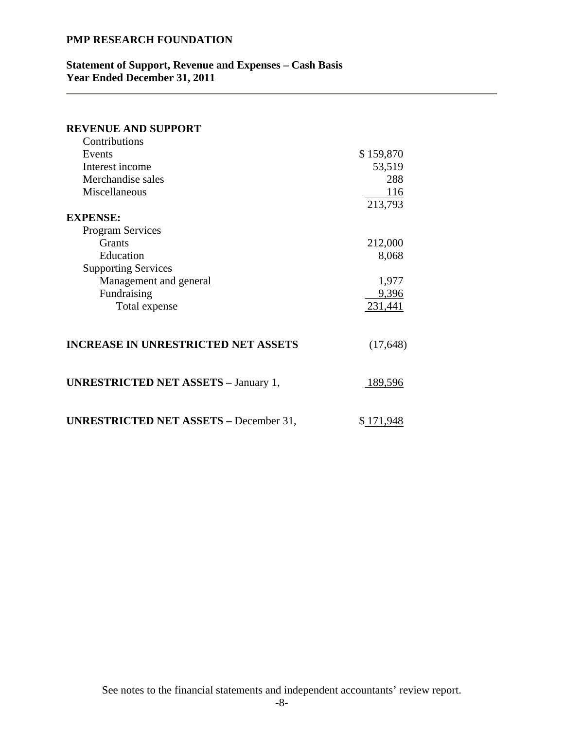### **Statement of Support, Revenue and Expenses – Cash Basis Year Ended December 31, 2011**

| <b>REVENUE AND SUPPORT</b>                    |           |
|-----------------------------------------------|-----------|
| Contributions                                 |           |
| Events                                        | \$159,870 |
| Interest income                               | 53,519    |
| Merchandise sales                             | 288       |
| Miscellaneous                                 | 116       |
|                                               | 213,793   |
| <b>EXPENSE:</b>                               |           |
| <b>Program Services</b>                       |           |
| <b>Grants</b>                                 | 212,000   |
| Education                                     | 8,068     |
| <b>Supporting Services</b>                    |           |
| Management and general                        | 1,977     |
| Fundraising                                   | 9,396     |
| Total expense                                 | 231,441   |
|                                               |           |
| <b>INCREASE IN UNRESTRICTED NET ASSETS</b>    | (17, 648) |
| <b>UNRESTRICTED NET ASSETS - January 1,</b>   | 189,596   |
| <b>UNRESTRICTED NET ASSETS - December 31,</b> | \$171,948 |

See notes to the financial statements and independent accountants' review report.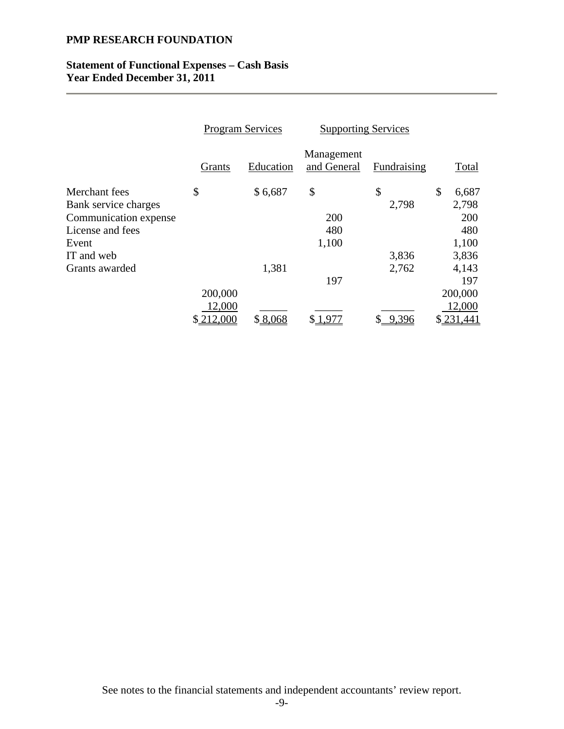## **Statement of Functional Expenses – Cash Basis Year Ended December 31, 2011**

|                       | <b>Program Services</b> |           | <b>Supporting Services</b> |             |             |
|-----------------------|-------------------------|-----------|----------------------------|-------------|-------------|
|                       | Grants                  | Education | Management<br>and General  | Fundraising | Total       |
| Merchant fees         | \$                      | \$6,687   | \$                         | \$          | \$<br>6,687 |
| Bank service charges  |                         |           |                            | 2,798       | 2,798       |
| Communication expense |                         |           | 200                        |             | 200         |
| License and fees      |                         |           | 480                        |             | 480         |
| Event                 |                         |           | 1,100                      |             | 1,100       |
| IT and web            |                         |           |                            | 3,836       | 3,836       |
| Grants awarded        |                         | 1,381     |                            | 2,762       | 4,143       |
|                       |                         |           | 197                        |             | 197         |
|                       | 200,000                 |           |                            |             | 200,000     |
|                       | 12,000                  |           |                            |             | 12,000      |
|                       | 212,000                 | \$8,068   |                            | 9,396       | \$231,441   |

See notes to the financial statements and independent accountants' review report.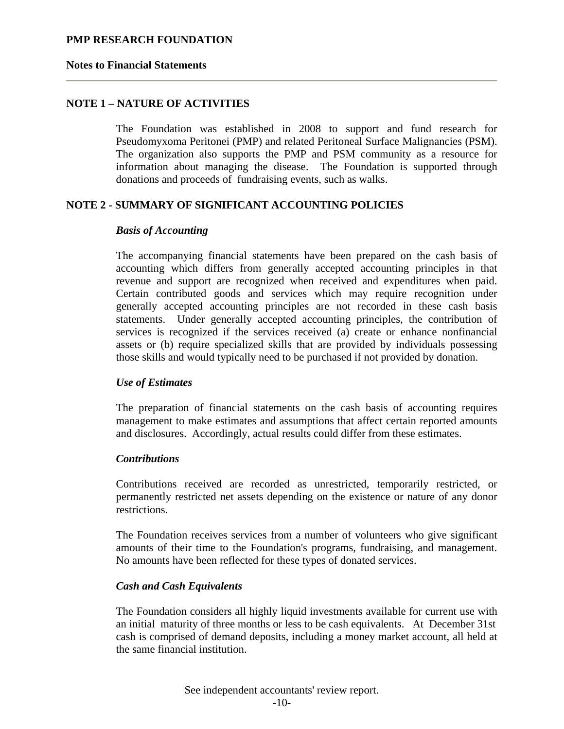#### **Notes to Financial Statements**

# **NOTE 1 – NATURE OF ACTIVITIES**

The Foundation was established in 2008 to support and fund research for Pseudomyxoma Peritonei (PMP) and related Peritoneal Surface Malignancies (PSM). The organization also supports the PMP and PSM community as a resource for information about managing the disease. The Foundation is supported through donations and proceeds of fundraising events, such as walks.

## **NOTE 2 - SUMMARY OF SIGNIFICANT ACCOUNTING POLICIES**

#### *Basis of Accounting*

The accompanying financial statements have been prepared on the cash basis of accounting which differs from generally accepted accounting principles in that revenue and support are recognized when received and expenditures when paid. Certain contributed goods and services which may require recognition under generally accepted accounting principles are not recorded in these cash basis statements. Under generally accepted accounting principles, the contribution of services is recognized if the services received (a) create or enhance nonfinancial assets or (b) require specialized skills that are provided by individuals possessing those skills and would typically need to be purchased if not provided by donation.

#### *Use of Estimates*

The preparation of financial statements on the cash basis of accounting requires management to make estimates and assumptions that affect certain reported amounts and disclosures. Accordingly, actual results could differ from these estimates.

#### *Contributions*

Contributions received are recorded as unrestricted, temporarily restricted, or permanently restricted net assets depending on the existence or nature of any donor restrictions.

The Foundation receives services from a number of volunteers who give significant amounts of their time to the Foundation's programs, fundraising, and management. No amounts have been reflected for these types of donated services.

#### *Cash and Cash Equivalents*

The Foundation considers all highly liquid investments available for current use with an initial maturity of three months or less to be cash equivalents. At December 31st cash is comprised of demand deposits, including a money market account, all held at the same financial institution.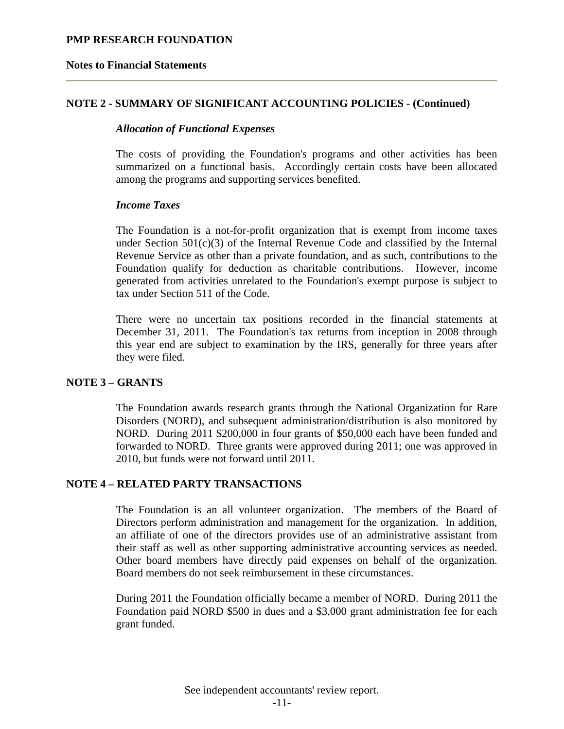#### **Notes to Financial Statements**

## **NOTE 2 - SUMMARY OF SIGNIFICANT ACCOUNTING POLICIES - (Continued)**

#### *Allocation of Functional Expenses*

The costs of providing the Foundation's programs and other activities has been summarized on a functional basis. Accordingly certain costs have been allocated among the programs and supporting services benefited.

#### *Income Taxes*

The Foundation is a not-for-profit organization that is exempt from income taxes under Section  $501(c)(3)$  of the Internal Revenue Code and classified by the Internal Revenue Service as other than a private foundation, and as such, contributions to the Foundation qualify for deduction as charitable contributions. However, income generated from activities unrelated to the Foundation's exempt purpose is subject to tax under Section 511 of the Code.

There were no uncertain tax positions recorded in the financial statements at December 31, 2011. The Foundation's tax returns from inception in 2008 through this year end are subject to examination by the IRS, generally for three years after they were filed.

#### **NOTE 3 – GRANTS**

The Foundation awards research grants through the National Organization for Rare Disorders (NORD), and subsequent administration/distribution is also monitored by NORD. During 2011 \$200,000 in four grants of \$50,000 each have been funded and forwarded to NORD. Three grants were approved during 2011; one was approved in 2010, but funds were not forward until 2011.

#### **NOTE 4 – RELATED PARTY TRANSACTIONS**

The Foundation is an all volunteer organization. The members of the Board of Directors perform administration and management for the organization. In addition, an affiliate of one of the directors provides use of an administrative assistant from their staff as well as other supporting administrative accounting services as needed. Other board members have directly paid expenses on behalf of the organization. Board members do not seek reimbursement in these circumstances.

During 2011 the Foundation officially became a member of NORD. During 2011 the Foundation paid NORD \$500 in dues and a \$3,000 grant administration fee for each grant funded.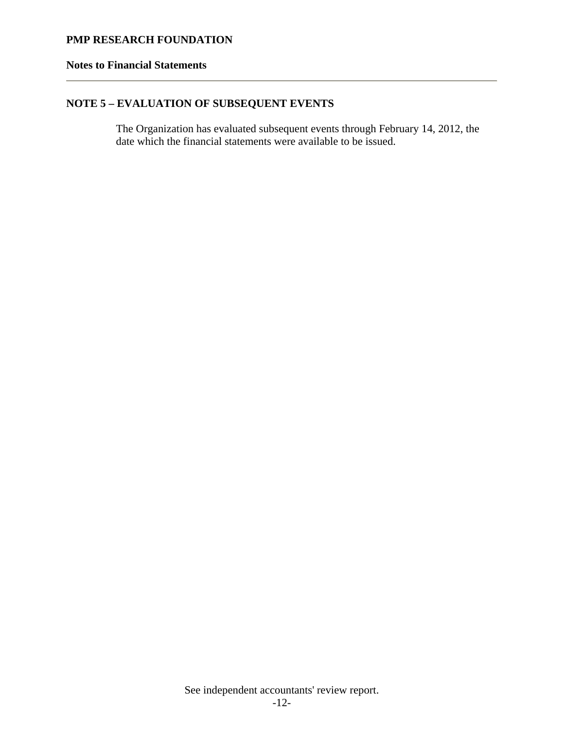## **Notes to Financial Statements**

# **NOTE 5 – EVALUATION OF SUBSEQUENT EVENTS**

The Organization has evaluated subsequent events through February 14, 2012, the date which the financial statements were available to be issued.

See independent accountants' review report.